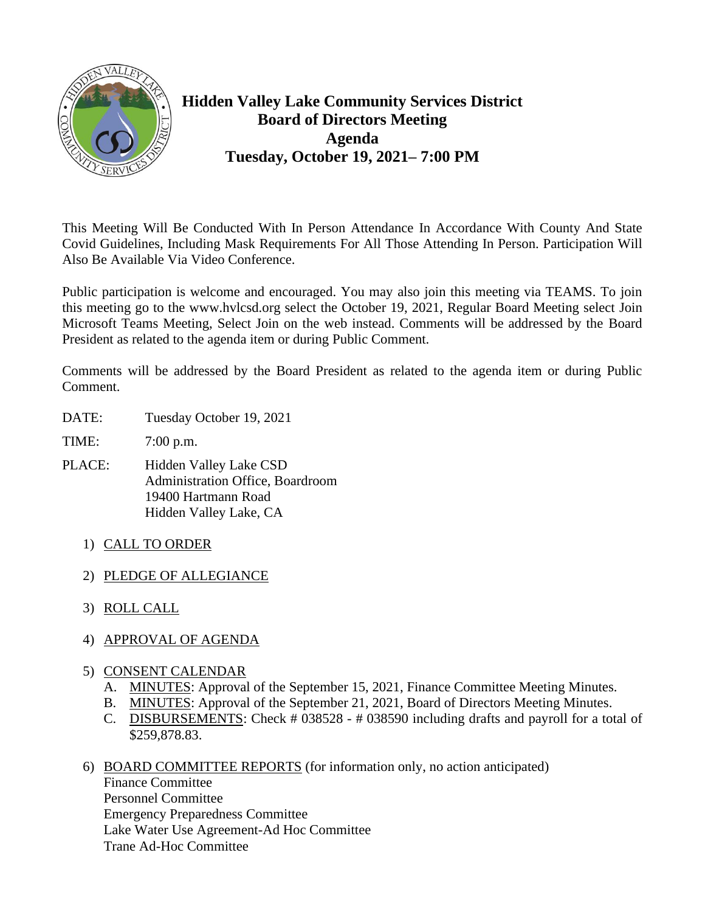

## **Hidden Valley Lake Community Services District Board of Directors Meeting Agenda Tuesday, October 19, 2021– 7:00 PM**

This Meeting Will Be Conducted With In Person Attendance In Accordance With County And State Covid Guidelines, Including Mask Requirements For All Those Attending In Person. Participation Will Also Be Available Via Video Conference.

Public participation is welcome and encouraged. You may also join this meeting via TEAMS. To join this meeting go to the www.hvlcsd.org select the October 19, 2021, Regular Board Meeting select Join Microsoft Teams Meeting, Select Join on the web instead. Comments will be addressed by the Board President as related to the agenda item or during Public Comment.

Comments will be addressed by the Board President as related to the agenda item or during Public Comment.

- DATE: Tuesday October 19, 2021
- TIME: 7:00 p.m.
- PLACE: Hidden Valley Lake CSD Administration Office, Boardroom 19400 Hartmann Road Hidden Valley Lake, CA
	- 1) CALL TO ORDER
	- 2) PLEDGE OF ALLEGIANCE
	- 3) ROLL CALL
	- 4) APPROVAL OF AGENDA
	- 5) CONSENT CALENDAR
		- A. MINUTES: Approval of the September 15, 2021, Finance Committee Meeting Minutes.
		- B. MINUTES: Approval of the September 21, 2021, Board of Directors Meeting Minutes.
		- C. DISBURSEMENTS: Check # 038528 # 038590 including drafts and payroll for a total of \$259,878.83.
	- 6) BOARD COMMITTEE REPORTS (for information only, no action anticipated) Finance Committee Personnel Committee Emergency Preparedness Committee Lake Water Use Agreement-Ad Hoc Committee Trane Ad-Hoc Committee